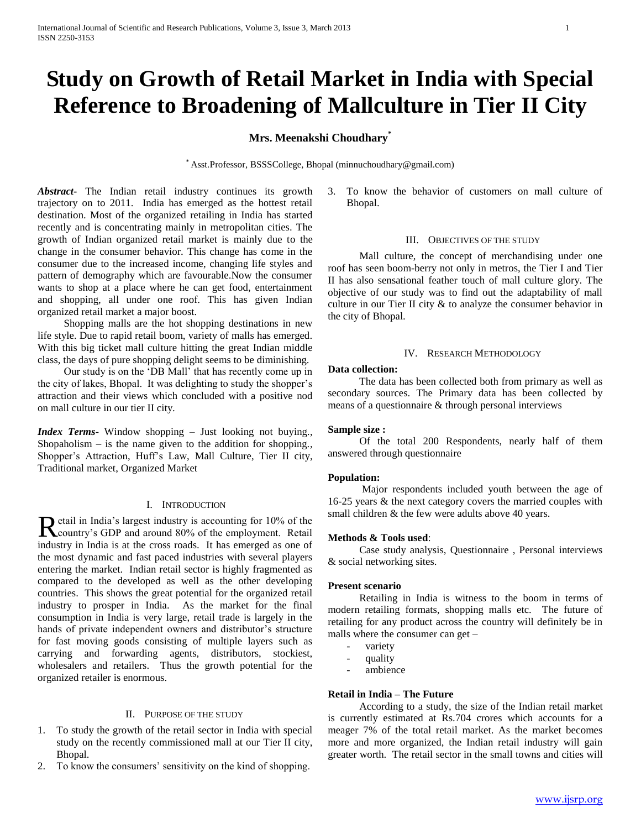# **Study on Growth of Retail Market in India with Special Reference to Broadening of Mallculture in Tier II City**

## **Mrs. Meenakshi Choudhary\***

\* Asst.Professor, BSSSCollege, Bhopal (minnuchoudhary@gmail.com)

*Abstract***-** The Indian retail industry continues its growth trajectory on to 2011. India has emerged as the hottest retail destination. Most of the organized retailing in India has started recently and is concentrating mainly in metropolitan cities. The growth of Indian organized retail market is mainly due to the change in the consumer behavior. This change has come in the consumer due to the increased income, changing life styles and pattern of demography which are favourable.Now the consumer wants to shop at a place where he can get food, entertainment and shopping, all under one roof. This has given Indian organized retail market a major boost.

 Shopping malls are the hot shopping destinations in new life style. Due to rapid retail boom, variety of malls has emerged. With this big ticket mall culture hitting the great Indian middle class, the days of pure shopping delight seems to be diminishing.

 Our study is on the 'DB Mall' that has recently come up in the city of lakes, Bhopal. It was delighting to study the shopper's attraction and their views which concluded with a positive nod on mall culture in our tier II city.

*Index Terms*- Window shopping – Just looking not buying., Shopaholism  $-$  is the name given to the addition for shopping. Shopper's Attraction, Huff's Law, Mall Culture, Tier II city, Traditional market, Organized Market

## I. INTRODUCTION

etail in India's largest industry is accounting for 10% of the Retail in India's largest industry is accounting for 10% of the employment. Retail industry in India is at the cross roads. It has emerged as one of the most dynamic and fast paced industries with several players entering the market. Indian retail sector is highly fragmented as compared to the developed as well as the other developing countries. This shows the great potential for the organized retail industry to prosper in India. As the market for the final consumption in India is very large, retail trade is largely in the hands of private independent owners and distributor's structure for fast moving goods consisting of multiple layers such as carrying and forwarding agents, distributors, stockiest, wholesalers and retailers. Thus the growth potential for the organized retailer is enormous.

## II. PURPOSE OF THE STUDY

- 1. To study the growth of the retail sector in India with special study on the recently commissioned mall at our Tier II city, Bhopal.
- 2. To know the consumers' sensitivity on the kind of shopping.

3. To know the behavior of customers on mall culture of Bhopal.

#### III. OBJECTIVES OF THE STUDY

 Mall culture, the concept of merchandising under one roof has seen boom-berry not only in metros, the Tier I and Tier II has also sensational feather touch of mall culture glory. The objective of our study was to find out the adaptability of mall culture in our Tier II city & to analyze the consumer behavior in the city of Bhopal.

#### IV. RESEARCH METHODOLOGY

#### **Data collection:**

 The data has been collected both from primary as well as secondary sources. The Primary data has been collected by means of a questionnaire & through personal interviews

#### **Sample size :**

 Of the total 200 Respondents, nearly half of them answered through questionnaire

#### **Population:**

 Major respondents included youth between the age of 16-25 years & the next category covers the married couples with small children & the few were adults above 40 years.

#### **Methods & Tools used**:

 Case study analysis, Questionnaire , Personal interviews & social networking sites.

## **Present scenario**

 Retailing in India is witness to the boom in terms of modern retailing formats, shopping malls etc. The future of retailing for any product across the country will definitely be in malls where the consumer can get –

- variety
- quality
- ambience

## **Retail in India – The Future**

 According to a study, the size of the Indian retail market is currently estimated at Rs.704 crores which accounts for a meager 7% of the total retail market. As the market becomes more and more organized, the Indian retail industry will gain greater worth. The retail sector in the small towns and cities will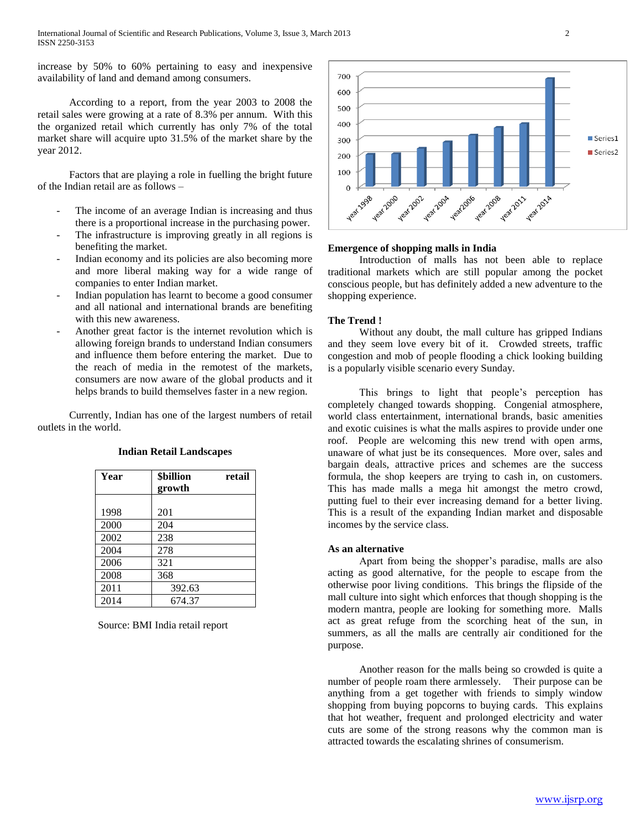increase by 50% to 60% pertaining to easy and inexpensive availability of land and demand among consumers.

 According to a report, from the year 2003 to 2008 the retail sales were growing at a rate of 8.3% per annum. With this the organized retail which currently has only 7% of the total market share will acquire upto 31.5% of the market share by the year 2012.

 Factors that are playing a role in fuelling the bright future of the Indian retail are as follows –

- The income of an average Indian is increasing and thus there is a proportional increase in the purchasing power.
- The infrastructure is improving greatly in all regions is benefiting the market.
- Indian economy and its policies are also becoming more and more liberal making way for a wide range of companies to enter Indian market.
- Indian population has learnt to become a good consumer and all national and international brands are benefiting with this new awareness.
- Another great factor is the internet revolution which is allowing foreign brands to understand Indian consumers and influence them before entering the market. Due to the reach of media in the remotest of the markets, consumers are now aware of the global products and it helps brands to build themselves faster in a new region.

 Currently, Indian has one of the largest numbers of retail outlets in the world.

| Year | <b>\$billion</b><br>retail |  |
|------|----------------------------|--|
|      | growth                     |  |
|      |                            |  |
| 1998 | 201                        |  |
| 2000 | 204                        |  |
| 2002 | 238                        |  |
| 2004 | 278                        |  |
| 2006 | 321                        |  |
| 2008 | 368                        |  |
| 2011 | 392.63                     |  |
| 2014 | 674.37                     |  |

## **Indian Retail Landscapes**

Source: BMI India retail report



## **Emergence of shopping malls in India**

 Introduction of malls has not been able to replace traditional markets which are still popular among the pocket conscious people, but has definitely added a new adventure to the shopping experience.

## **The Trend !**

 Without any doubt, the mall culture has gripped Indians and they seem love every bit of it. Crowded streets, traffic congestion and mob of people flooding a chick looking building is a popularly visible scenario every Sunday.

 This brings to light that people's perception has completely changed towards shopping. Congenial atmosphere, world class entertainment, international brands, basic amenities and exotic cuisines is what the malls aspires to provide under one roof. People are welcoming this new trend with open arms, unaware of what just be its consequences. More over, sales and bargain deals, attractive prices and schemes are the success formula, the shop keepers are trying to cash in, on customers. This has made malls a mega hit amongst the metro crowd, putting fuel to their ever increasing demand for a better living. This is a result of the expanding Indian market and disposable incomes by the service class.

#### **As an alternative**

 Apart from being the shopper's paradise, malls are also acting as good alternative, for the people to escape from the otherwise poor living conditions. This brings the flipside of the mall culture into sight which enforces that though shopping is the modern mantra, people are looking for something more. Malls act as great refuge from the scorching heat of the sun, in summers, as all the malls are centrally air conditioned for the purpose.

 Another reason for the malls being so crowded is quite a number of people roam there armlessely. Their purpose can be anything from a get together with friends to simply window shopping from buying popcorns to buying cards. This explains that hot weather, frequent and prolonged electricity and water cuts are some of the strong reasons why the common man is attracted towards the escalating shrines of consumerism.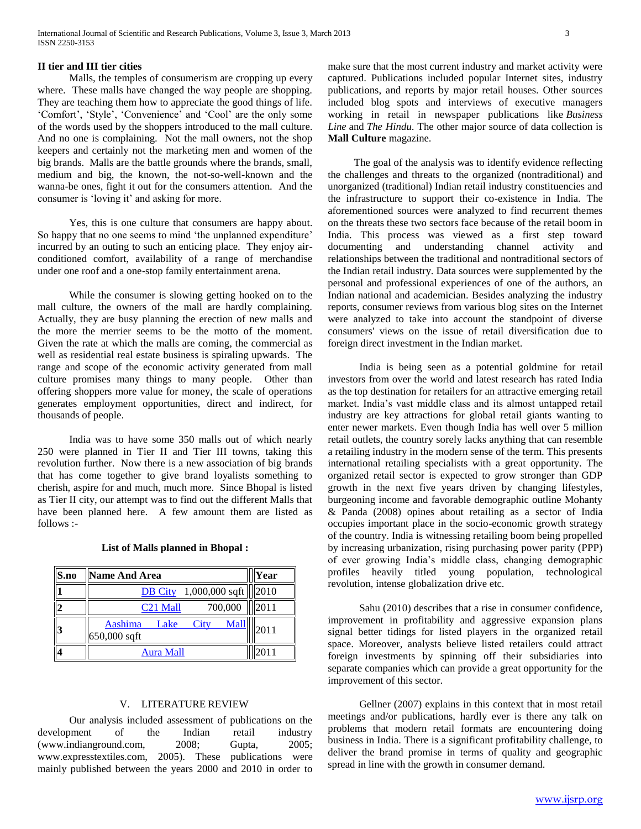## **II tier and III tier cities**

 Malls, the temples of consumerism are cropping up every where. These malls have changed the way people are shopping. They are teaching them how to appreciate the good things of life. 'Comfort', 'Style', 'Convenience' and 'Cool' are the only some of the words used by the shoppers introduced to the mall culture. And no one is complaining. Not the mall owners, not the shop keepers and certainly not the marketing men and women of the big brands. Malls are the battle grounds where the brands, small, medium and big, the known, the not-so-well-known and the wanna-be ones, fight it out for the consumers attention. And the consumer is 'loving it' and asking for more.

 Yes, this is one culture that consumers are happy about. So happy that no one seems to mind 'the unplanned expenditure' incurred by an outing to such an enticing place. They enjoy airconditioned comfort, availability of a range of merchandise under one roof and a one-stop family entertainment arena.

 While the consumer is slowing getting hooked on to the mall culture, the owners of the mall are hardly complaining. Actually, they are busy planning the erection of new malls and the more the merrier seems to be the motto of the moment. Given the rate at which the malls are coming, the commercial as well as residential real estate business is spiraling upwards. The range and scope of the economic activity generated from mall culture promises many things to many people. Other than offering shoppers more value for money, the scale of operations generates employment opportunities, direct and indirect, for thousands of people.

 India was to have some 350 malls out of which nearly 250 were planned in Tier II and Tier III towns, taking this revolution further. Now there is a new association of big brands that has come together to give brand loyalists something to cherish, aspire for and much, much more. Since Bhopal is listed as Tier II city, our attempt was to find out the different Malls that have been planned here. A few amount them are listed as  $follows -$ 

| S.no      | <b>Name And Area</b>                                   | Year |
|-----------|--------------------------------------------------------|------|
|           | 1,000,000 sqft $\  \  2010$<br><b>DB</b> City          |      |
| 12        | 700,000<br>C <sub>21</sub> Mall                        | 2011 |
| $\vert 3$ | <b>Mall</b><br>Aashima<br>City<br>Lake<br>650,000 sqft | 2011 |
|           | Aura Mall                                              |      |

## **List of Malls planned in Bhopal :**

## V. LITERATURE REVIEW

 Our analysis included assessment of publications on the development of the Indian retail industry (www.indianground.com, 2008; Gupta, 2005; www.expresstextiles.com, 2005). These publications were mainly published between the years 2000 and 2010 in order to

make sure that the most current industry and market activity were captured. Publications included popular Internet sites, industry publications, and reports by major retail houses. Other sources included blog spots and interviews of executive managers working in retail in newspaper publications like *Business Line* and *The Hindu.* The other major source of data collection is **Mall Culture** magazine.

 The goal of the analysis was to identify evidence reflecting the challenges and threats to the organized (nontraditional) and unorganized (traditional) Indian retail industry constituencies and the infrastructure to support their co-existence in India. The aforementioned sources were analyzed to find recurrent themes on the threats these two sectors face because of the retail boom in India. This process was viewed as a first step toward documenting and understanding channel activity and relationships between the traditional and nontraditional sectors of the Indian retail industry. Data sources were supplemented by the personal and professional experiences of one of the authors, an Indian national and academician. Besides analyzing the industry reports, consumer reviews from various blog sites on the Internet were analyzed to take into account the standpoint of diverse consumers' views on the issue of retail diversification due to foreign direct investment in the Indian market.

 India is being seen as a potential goldmine for retail investors from over the world and latest research has rated India as the top destination for retailers for an attractive emerging retail market. India's vast middle class and its almost untapped retail industry are key attractions for global retail giants wanting to enter newer markets. Even though India has well over 5 million retail outlets, the country sorely lacks anything that can resemble a retailing industry in the modern sense of the term. This presents international retailing specialists with a great opportunity. The organized retail sector is expected to grow stronger than GDP growth in the next five years driven by changing lifestyles, burgeoning income and favorable demographic outline Mohanty & Panda (2008) opines about retailing as a sector of India occupies important place in the socio-economic growth strategy of the country. India is witnessing retailing boom being propelled by increasing urbanization, rising purchasing power parity (PPP) of ever growing India's middle class, changing demographic profiles heavily titled young population, technological revolution, intense globalization drive etc.

 Sahu (2010) describes that a rise in consumer confidence, improvement in profitability and aggressive expansion plans signal better tidings for listed players in the organized retail space. Moreover, analysts believe listed retailers could attract foreign investments by spinning off their subsidiaries into separate companies which can provide a great opportunity for the improvement of this sector.

 Gellner (2007) explains in this context that in most retail meetings and/or publications, hardly ever is there any talk on problems that modern retail formats are encountering doing business in India. There is a significant profitability challenge, to deliver the brand promise in terms of quality and geographic spread in line with the growth in consumer demand.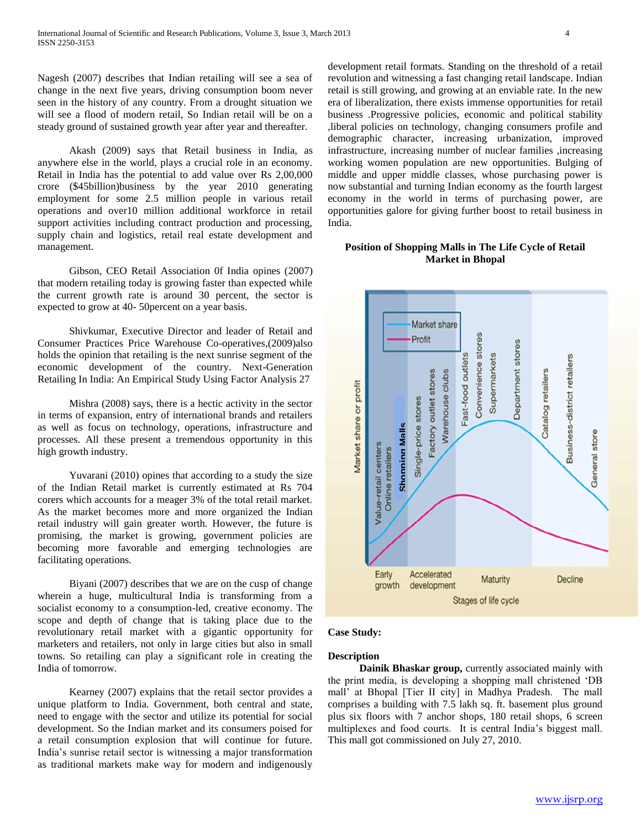Nagesh (2007) describes that Indian retailing will see a sea of change in the next five years, driving consumption boom never seen in the history of any country. From a drought situation we will see a flood of modern retail, So Indian retail will be on a steady ground of sustained growth year after year and thereafter.

 Akash (2009) says that Retail business in India, as anywhere else in the world, plays a crucial role in an economy. Retail in India has the potential to add value over Rs 2,00,000 crore (\$45billion)business by the year 2010 generating employment for some 2.5 million people in various retail operations and over10 million additional workforce in retail support activities including contract production and processing, supply chain and logistics, retail real estate development and management.

 Gibson, CEO Retail Association 0f India opines (2007) that modern retailing today is growing faster than expected while the current growth rate is around 30 percent, the sector is expected to grow at 40- 50percent on a year basis.

 Shivkumar, Executive Director and leader of Retail and Consumer Practices Price Warehouse Co-operatives,(2009)also holds the opinion that retailing is the next sunrise segment of the economic development of the country. Next-Generation Retailing In India: An Empirical Study Using Factor Analysis 27

 Mishra (2008) says, there is a hectic activity in the sector in terms of expansion, entry of international brands and retailers as well as focus on technology, operations, infrastructure and processes. All these present a tremendous opportunity in this high growth industry.

 Yuvarani (2010) opines that according to a study the size of the Indian Retail market is currently estimated at Rs 704 corers which accounts for a meager 3% of the total retail market. As the market becomes more and more organized the Indian retail industry will gain greater worth. However, the future is promising, the market is growing, government policies are becoming more favorable and emerging technologies are facilitating operations.

 Biyani (2007) describes that we are on the cusp of change wherein a huge, multicultural India is transforming from a socialist economy to a consumption-led, creative economy. The scope and depth of change that is taking place due to the revolutionary retail market with a gigantic opportunity for marketers and retailers, not only in large cities but also in small towns. So retailing can play a significant role in creating the India of tomorrow.

 Kearney (2007) explains that the retail sector provides a unique platform to India. Government, both central and state, need to engage with the sector and utilize its potential for social development. So the Indian market and its consumers poised for a retail consumption explosion that will continue for future. India's sunrise retail sector is witnessing a major transformation as traditional markets make way for modern and indigenously

development retail formats. Standing on the threshold of a retail revolution and witnessing a fast changing retail landscape. Indian retail is still growing, and growing at an enviable rate. In the new era of liberalization, there exists immense opportunities for retail business .Progressive policies, economic and political stability ,liberal policies on technology, changing consumers profile and demographic character, increasing urbanization, improved infrastructure, increasing number of nuclear families ,increasing working women population are new opportunities. Bulging of middle and upper middle classes, whose purchasing power is now substantial and turning Indian economy as the fourth largest economy in the world in terms of purchasing power, are opportunities galore for giving further boost to retail business in India.

## **Position of Shopping Malls in The Life Cycle of Retail Market in Bhopal**



## **Case Study:**

## **Description**

 **Dainik Bhaskar group,** currently associated mainly with the print media, is developing a shopping mall christened 'DB mall' at Bhopal [Tier II city] in Madhya Pradesh. The mall comprises a building with 7.5 lakh sq. ft. basement plus ground plus six floors with 7 anchor shops, 180 retail shops, 6 screen multiplexes and food courts. It is central India's biggest mall.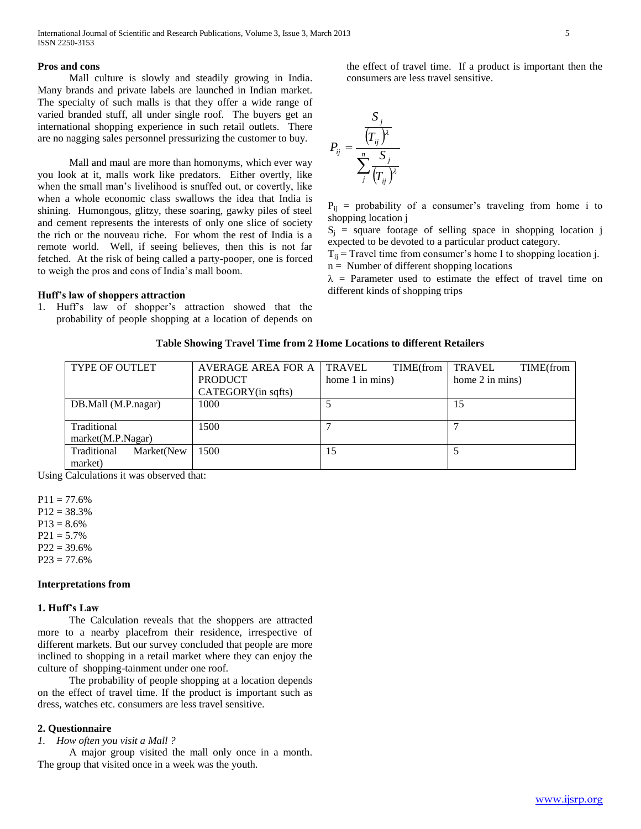## **Pros and cons**

 Mall culture is slowly and steadily growing in India. Many brands and private labels are launched in Indian market. The specialty of such malls is that they offer a wide range of varied branded stuff, all under single roof. The buyers get an international shopping experience in such retail outlets. There are no nagging sales personnel pressurizing the customer to buy.

 Mall and maul are more than homonyms, which ever way you look at it, malls work like predators. Either overtly, like when the small man's livelihood is snuffed out, or covertly, like when a whole economic class swallows the idea that India is shining. Humongous, glitzy, these soaring, gawky piles of steel and cement represents the interests of only one slice of society the rich or the nouveau riche. For whom the rest of India is a remote world. Well, if seeing believes, then this is not far fetched. At the risk of being called a party-pooper, one is forced to weigh the pros and cons of India's mall boom.

#### **Huff's law of shoppers attraction**

1. Huff's law of shopper's attraction showed that the probability of people shopping at a location of depends on the effect of travel time. If a product is important then the consumers are less travel sensitive.

$$
P_{ij} = \frac{\frac{S_j}{(T_{ij})^{\lambda}}}{\sum_j^n \frac{S_j}{(T_{ij})^{\lambda}}}
$$

 $P_{ij}$  = probability of a consumer's traveling from home i to shopping location j

 $S_i$  = square footage of selling space in shopping location j expected to be devoted to a particular product category.

 $T_{ii}$  = Travel time from consumer's home I to shopping location j.  $n =$  Number of different shopping locations

 $\lambda$  = Parameter used to estimate the effect of travel time on different kinds of shopping trips

#### **Table Showing Travel Time from 2 Home Locations to different Retailers**

| <b>TYPE OF OUTLET</b>     | <b>AVERAGE AREA FOR A</b> | TRAVEL<br>TIME(from | TRAVEL<br>TIME(from |
|---------------------------|---------------------------|---------------------|---------------------|
|                           | <b>PRODUCT</b>            | home 1 in mins)     | home 2 in mins)     |
|                           | CATEGORY(in sqfts)        |                     |                     |
| DB.Mall (M.P.nagar)       | 1000                      |                     | 15                  |
|                           |                           |                     |                     |
| Traditional               | 1500                      |                     |                     |
| market(M.P.Nagar)         |                           |                     |                     |
| Traditional<br>Market(New | 1500                      | 15                  |                     |
| market)                   |                           |                     |                     |

Using Calculations it was observed that:

 $P11 = 77.6%$  $P12 = 38.3%$  $P13 = 8.6%$  $P21 = 5.7\%$  $P22 = 39.6%$  $P23 = 77.6%$ 

#### **Interpretations from**

## **1. Huff's Law**

 The Calculation reveals that the shoppers are attracted more to a nearby placefrom their residence, irrespective of different markets. But our survey concluded that people are more inclined to shopping in a retail market where they can enjoy the culture of shopping-tainment under one roof.

 The probability of people shopping at a location depends on the effect of travel time. If the product is important such as dress, watches etc. consumers are less travel sensitive.

#### **2. Questionnaire**

*1. How often you visit a Mall ?*

 A major group visited the mall only once in a month. The group that visited once in a week was the youth.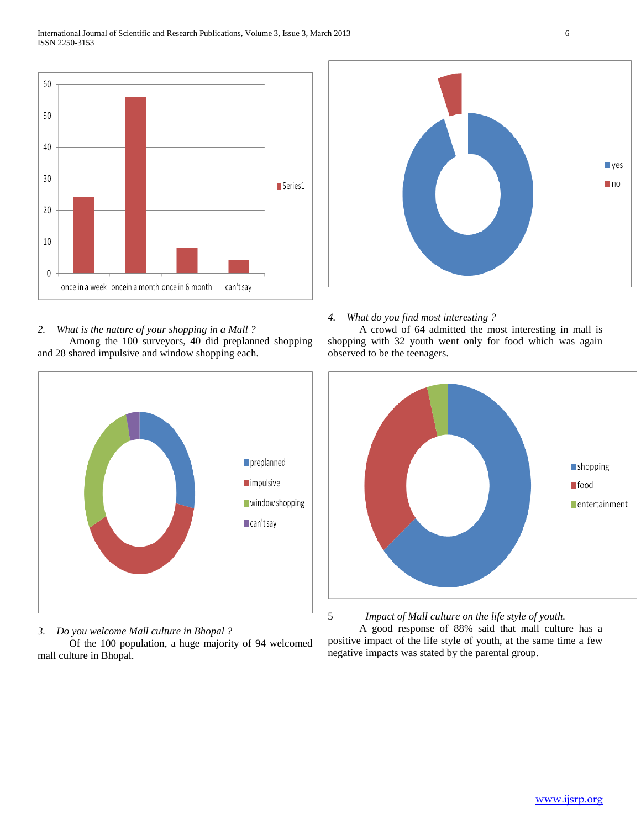





*3. Do you welcome Mall culture in Bhopal ?*

 Of the 100 population, a huge majority of 94 welcomed mall culture in Bhopal.



## *4. What do you find most interesting ?*

 A crowd of 64 admitted the most interesting in mall is shopping with 32 youth went only for food which was again observed to be the teenagers.



5 *Impact of Mall culture on the life style of youth.* A good response of 88% said that mall culture has a positive impact of the life style of youth, at the same time a few negative impacts was stated by the parental group.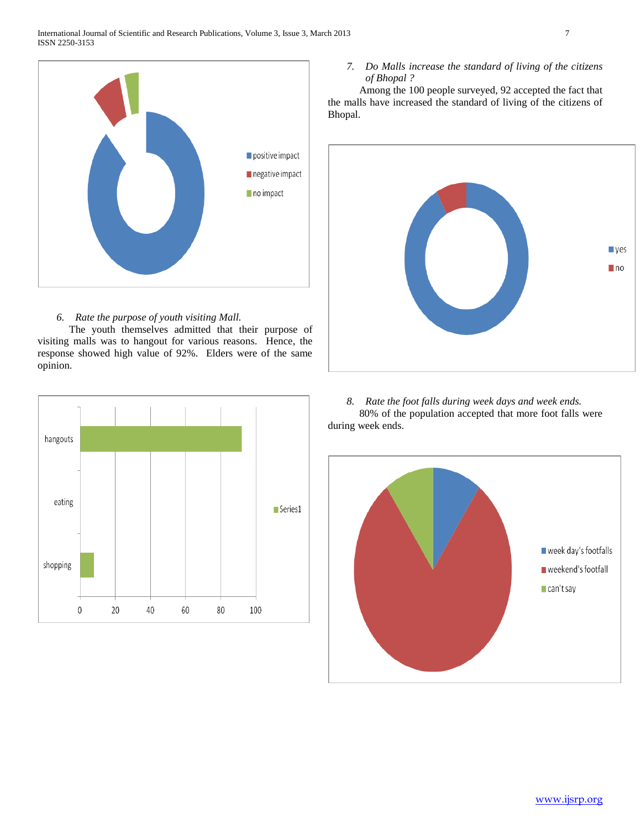

## *6. Rate the purpose of youth visiting Mall.*

 The youth themselves admitted that their purpose of visiting malls was to hangout for various reasons. Hence, the response showed high value of 92%. Elders were of the same opinion.



## *7. Do Malls increase the standard of living of the citizens of Bhopal ?*

 Among the 100 people surveyed, 92 accepted the fact that the malls have increased the standard of living of the citizens of Bhopal.



*8. Rate the foot falls during week days and week ends.* 80% of the population accepted that more foot falls were during week ends.

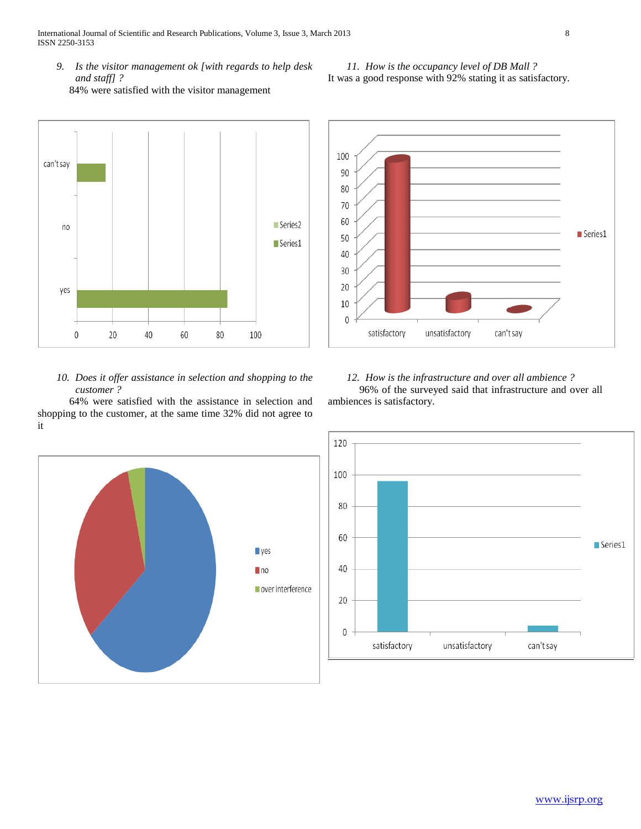International Journal of Scientific and Research Publications, Volume 3, Issue 3, March 2013 8 ISSN 2250-3153

*9. Is the visitor management ok [with regards to help desk and staff] ?* 84% were satisfied with the visitor management



## *10. Does it offer assistance in selection and shopping to the customer ?*

 64% were satisfied with the assistance in selection and shopping to the customer, at the same time 32% did not agree to it





## *11. How is the occupancy level of DB Mall ?* It was a good response with 92% stating it as satisfactory.

## *12. How is the infrastructure and over all ambience ?*

 96% of the surveyed said that infrastructure and over all ambiences is satisfactory.

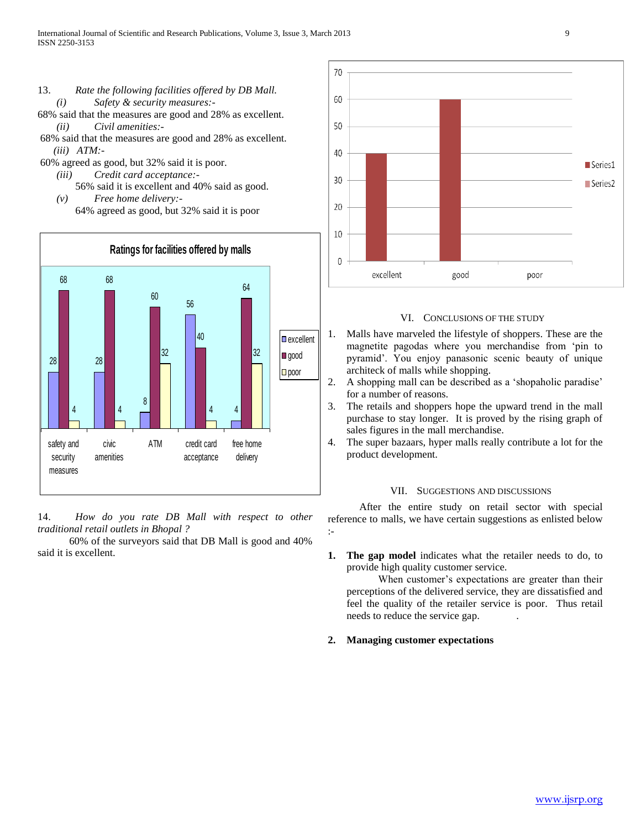- 13. *Rate the following facilities offered by DB Mall. (i) Safety & security measures:-*
- 68% said that the measures are good and 28% as excellent. *(ii) Civil amenities:-*
- 68% said that the measures are good and 28% as excellent.  *(iii) ATM:-*

60% agreed as good, but 32% said it is poor.

- *(iii) Credit card acceptance:-* 56% said it is excellent and 40% said as good. *(v) Free home delivery:-*
	- 64% agreed as good, but 32% said it is poor



14. *How do you rate DB Mall with respect to other traditional retail outlets in Bhopal ?*

 60% of the surveyors said that DB Mall is good and 40% said it is excellent.



## VI. CONCLUSIONS OF THE STUDY

- 1. Malls have marveled the lifestyle of shoppers. These are the magnetite pagodas where you merchandise from 'pin to pyramid'. You enjoy panasonic scenic beauty of unique architeck of malls while shopping.
- 2. A shopping mall can be described as a 'shopaholic paradise' for a number of reasons.
- 3. The retails and shoppers hope the upward trend in the mall purchase to stay longer. It is proved by the rising graph of sales figures in the mall merchandise.
- 4. The super bazaars, hyper malls really contribute a lot for the product development.

## VII. SUGGESTIONS AND DISCUSSIONS

 After the entire study on retail sector with special reference to malls, we have certain suggestions as enlisted below :-

**1. The gap model** indicates what the retailer needs to do, to provide high quality customer service.

 When customer's expectations are greater than their perceptions of the delivered service, they are dissatisfied and feel the quality of the retailer service is poor. Thus retail needs to reduce the service gap. .

**2. Managing customer expectations**